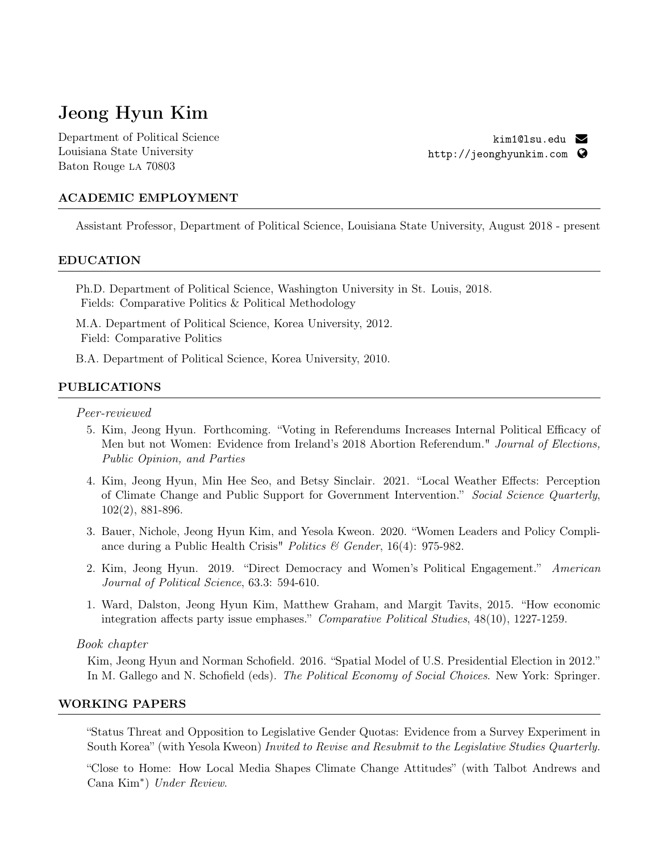# Jeong Hyun Kim

Department of Political Science Louisiana State University Baton Rouge LA 70803

[kim1@lsu.edu](mailto:kim1@lsu.edu) R <http://jeonghyunkim.com>  $\bullet$ 

## ACADEMIC EMPLOYMENT

Assistant Professor, Department of Political Science, Louisiana State University, August 2018 - present

## EDUCATION

Ph.D. Department of Political Science, Washington University in St. Louis, 2018. Fields: Comparative Politics & Political Methodology

M.A. Department of Political Science, Korea University, 2012. Field: Comparative Politics

B.A. Department of Political Science, Korea University, 2010.

## PUBLICATIONS

Peer-reviewed

- 5. Kim, Jeong Hyun. Forthcoming. "Voting in Referendums Increases Internal Political Efficacy of Men but not Women: Evidence from Ireland's 2018 Abortion Referendum." Journal of Elections, Public Opinion, and Parties
- 4. Kim, Jeong Hyun, Min Hee Seo, and Betsy Sinclair. 2021. "Local Weather Effects: Perception of Climate Change and Public Support for Government Intervention." Social Science Quarterly, 102(2), 881-896.
- 3. Bauer, Nichole, Jeong Hyun Kim, and Yesola Kweon. 2020. "Women Leaders and Policy Compliance during a Public Health Crisis" Politics & Gender, 16(4): 975-982.
- 2. Kim, Jeong Hyun. 2019. "Direct Democracy and Women's Political Engagement." American Journal of Political Science, 63.3: 594-610.
- 1. Ward, Dalston, Jeong Hyun Kim, Matthew Graham, and Margit Tavits, 2015. "How economic integration affects party issue emphases." Comparative Political Studies,  $48(10)$ , 1227-1259.

## Book chapter

Kim, Jeong Hyun and Norman Schofeld. 2016. "Spatial Model of U.S. Presidential Election in 2012." In M. Gallego and N. Schofield (eds). The Political Economy of Social Choices. New York: Springer.

## WORKING PAPERS

"Status Threat and Opposition to Legislative Gender Quotas: Evidence from a Survey Experiment in South Korea" (with Yesola Kweon) Invited to Revise and Resubmit to the Legislative Studies Quarterly.

"Close to Home: How Local Media Shapes Climate Change Attitudes" (with Talbot Andrews and Cana Kim∗) Under Review.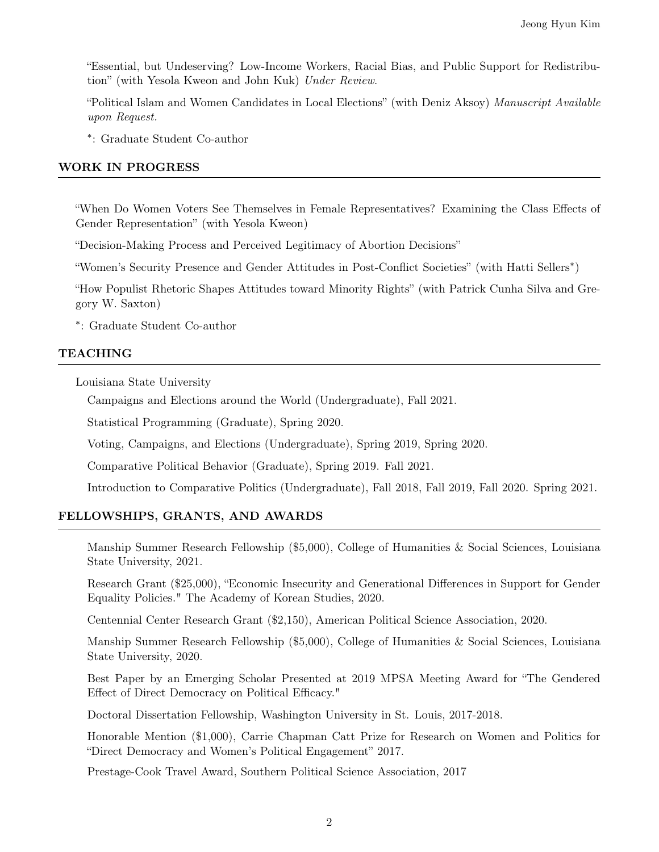"Essential, but Undeserving? Low-Income Workers, Racial Bias, and Public Support for Redistribution" (with Yesola Kweon and John Kuk) Under Review.

"Political Islam and Women Candidates in Local Elections" (with Deniz Aksoy) Manuscript Available upon Request.

<sup>∗</sup>: Graduate Student Co-author

## WORK IN PROGRESS

"When Do Women Voters See Themselves in Female Representatives? Examining the Class Effects of Gender Representation" (with Yesola Kweon)

"Decision-Making Process and Perceived Legitimacy of Abortion Decisions"

"Women's Security Presence and Gender Attitudes in Post-Confict Societies" (with Hatti Sellers∗)

"How Populist Rhetoric Shapes Attitudes toward Minority Rights" (with Patrick Cunha Silva and Gregory W. Saxton)

<sup>∗</sup>: Graduate Student Co-author

## TEACHING

Louisiana State University

Campaigns and Elections around the World (Undergraduate), Fall 2021.

Statistical Programming (Graduate), Spring 2020.

Voting, Campaigns, and Elections (Undergraduate), Spring 2019, Spring 2020.

Comparative Political Behavior (Graduate), Spring 2019. Fall 2021.

Introduction to Comparative Politics (Undergraduate), Fall 2018, Fall 2019, Fall 2020. Spring 2021.

## FELLOWSHIPS, GRANTS, AND AWARDS

Manship Summer Research Fellowship (\$5,000), College of Humanities & Social Sciences, Louisiana State University, 2021.

Research Grant (\$25,000), "Economic Insecurity and Generational Differences in Support for Gender Equality Policies." The Academy of Korean Studies, 2020.

Centennial Center Research Grant (\$2,150), American Political Science Association, 2020.

Manship Summer Research Fellowship (\$5,000), College of Humanities & Social Sciences, Louisiana State University, 2020.

Best Paper by an Emerging Scholar Presented at 2019 MPSA Meeting Award for "The Gendered Effect of Direct Democracy on Political Efficacy."

Doctoral Dissertation Fellowship, Washington University in St. Louis, 2017-2018.

Honorable Mention (\$1,000), Carrie Chapman Catt Prize for Research on Women and Politics for "Direct Democracy and Women's Political Engagement" 2017.

Prestage-Cook Travel Award, Southern Political Science Association, 2017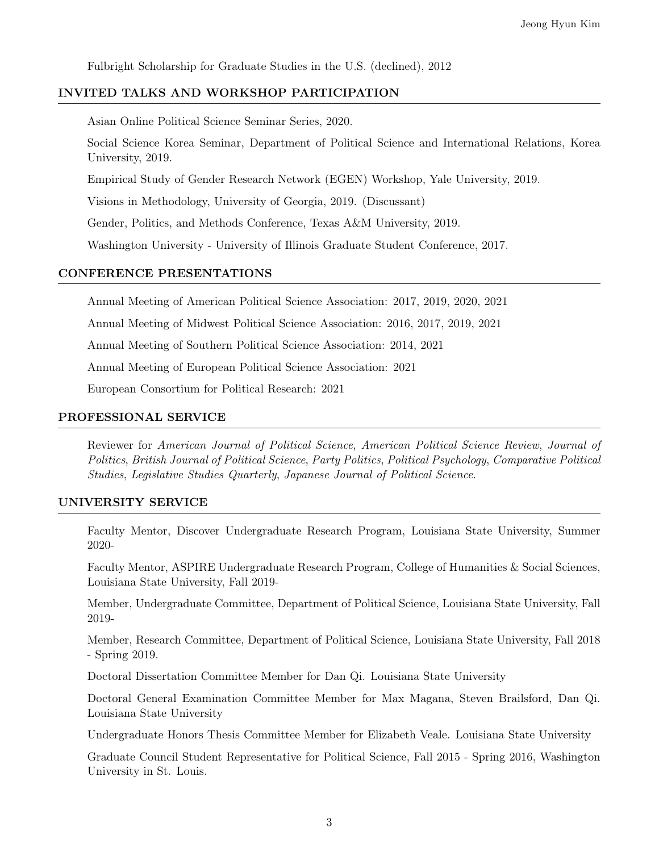Fulbright Scholarship for Graduate Studies in the U.S. (declined), 2012

## INVITED TALKS AND WORKSHOP PARTICIPATION

Asian Online Political Science Seminar Series, 2020.

Social Science Korea Seminar, Department of Political Science and International Relations, Korea University, 2019.

Empirical Study of Gender Research Network (EGEN) Workshop, Yale University, 2019.

Visions in Methodology, University of Georgia, 2019. (Discussant)

Gender, Politics, and Methods Conference, Texas A&M University, 2019.

Washington University - University of Illinois Graduate Student Conference, 2017.

#### CONFERENCE PRESENTATIONS

Annual Meeting of American Political Science Association: 2017, 2019, 2020, 2021

Annual Meeting of Midwest Political Science Association: 2016, 2017, 2019, 2021

Annual Meeting of Southern Political Science Association: 2014, 2021

Annual Meeting of European Political Science Association: 2021

European Consortium for Political Research: 2021

## PROFESSIONAL SERVICE

Reviewer for American Journal of Political Science, American Political Science Review, Journal of Politics, British Journal of Political Science, Party Politics, Political Psychology, Comparative Political Studies, Legislative Studies Quarterly, Japanese Journal of Political Science.

## UNIVERSITY SERVICE

Faculty Mentor, Discover Undergraduate Research Program, Louisiana State University, Summer 2020-

Faculty Mentor, ASPIRE Undergraduate Research Program, College of Humanities & Social Sciences, Louisiana State University, Fall 2019-

Member, Undergraduate Committee, Department of Political Science, Louisiana State University, Fall 2019-

Member, Research Committee, Department of Political Science, Louisiana State University, Fall 2018 - Spring 2019.

Doctoral Dissertation Committee Member for Dan Qi. Louisiana State University

Doctoral General Examination Committee Member for Max Magana, Steven Brailsford, Dan Qi. Louisiana State University

Undergraduate Honors Thesis Committee Member for Elizabeth Veale. Louisiana State University

Graduate Council Student Representative for Political Science, Fall 2015 - Spring 2016, Washington University in St. Louis.